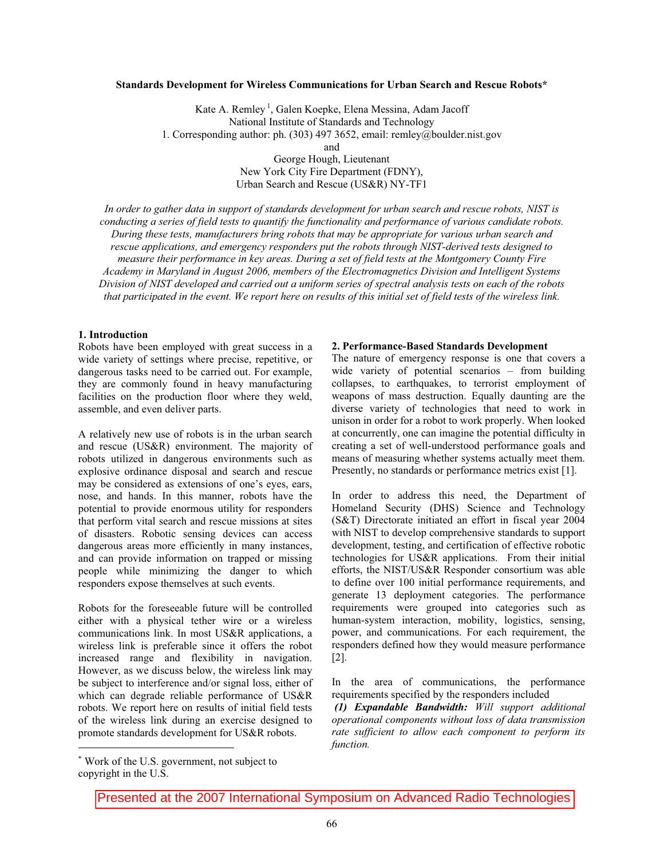# **Standards Development for Wireless Communications for Urban Search and Rescue Robots\***

Kate A. Remley<sup>1</sup>, Galen Koepke, Elena Messina, Adam Jacoff National Institute of Standards and Technology 1. Corresponding author: ph. (303) 497 3652, email: remley@boulder.nist.gov and George Hough, Lieutenant

New York City Fire Department (FDNY), Urban Search and Rescue (US&R) NY-TF1

*In order to gather data in support of standards development for urban search and rescue robots, NIST is conducting a series of field tests to quantify the functionality and performance of various candidate robots. During these tests, manufacturers bring robots that may be appropriate for various urban search and rescue applications, and emergency responders put the robots through NIST-derived tests designed to measure their performance in key areas. During a set of field tests at the Montgomery County Fire Academy in Maryland in August 2006, members of the Electromagnetics Division and Intelligent Systems Division of NIST developed and carried out a uniform series of spectral analysis tests on each of the robots that participated in the event. We report here on results of this initial set of field tests of the wireless link.* 

## **1. Introduction**

Robots have been employed with great success in a wide variety of settings where precise, repetitive, or dangerous tasks need to be carried out. For example, they are commonly found in heavy manufacturing facilities on the production floor where they weld, assemble, and even deliver parts.

A relatively new use of robots is in the urban search and rescue (US&R) environment. The majority of robots utilized in dangerous environments such as explosive ordinance disposal and search and rescue may be considered as extensions of one's eyes, ears, nose, and hands. In this manner, robots have the potential to provide enormous utility for responders that perform vital search and rescue missions at sites of disasters. Robotic sensing devices can access dangerous areas more efficiently in many instances, and can provide information on trapped or missing people while minimizing the danger to which responders expose themselves at such events.

Robots for the foreseeable future will be controlled either with a physical tether wire or a wireless communications link. In most US&R applications, a wireless link is preferable since it offers the robot increased range and flexibility in navigation. However, as we discuss below, the wireless link may be subject to interference and/or signal loss, either of which can degrade reliable performance of US&R robots. We report here on results of initial field tests of the wireless link during an exercise designed to promote standards development for US&R robots.

## **2. Performance-Based Standards Development**

The nature of emergency response is one that covers a wide variety of potential scenarios – from building collapses, to earthquakes, to terrorist employment of weapons of mass destruction. Equally daunting are the diverse variety of technologies that need to work in unison in order for a robot to work properly. When looked at concurrently, one can imagine the potential difficulty in creating a set of well-understood performance goals and means of measuring whether systems actually meet them. Presently, no standards or performance metrics exist [1].

In order to address this need, the Department of Homeland Security (DHS) Science and Technology (S&T) Directorate initiated an effort in fiscal year 2004 with NIST to develop comprehensive standards to support development, testing, and certification of effective robotic technologies for US&R applications. From their initial efforts, the NIST/US&R Responder consortium was able to define over 100 initial performance requirements, and generate 13 deployment categories. The performance requirements were grouped into categories such as human-system interaction, mobility, logistics, sensing, power, and communications. For each requirement, the responders defined how they would measure performance [2].

In the area of communications, the performance requirements specified by the responders included

 *(1) Expandable Bandwidth: Will support additional operational components without loss of data transmission rate sufficient to allow each component to perform its function.* 

Presented at the 2007 International Symposium on Advanced Radio Technologies

 Work of the U.S. government, not subject to copyright in the U.S.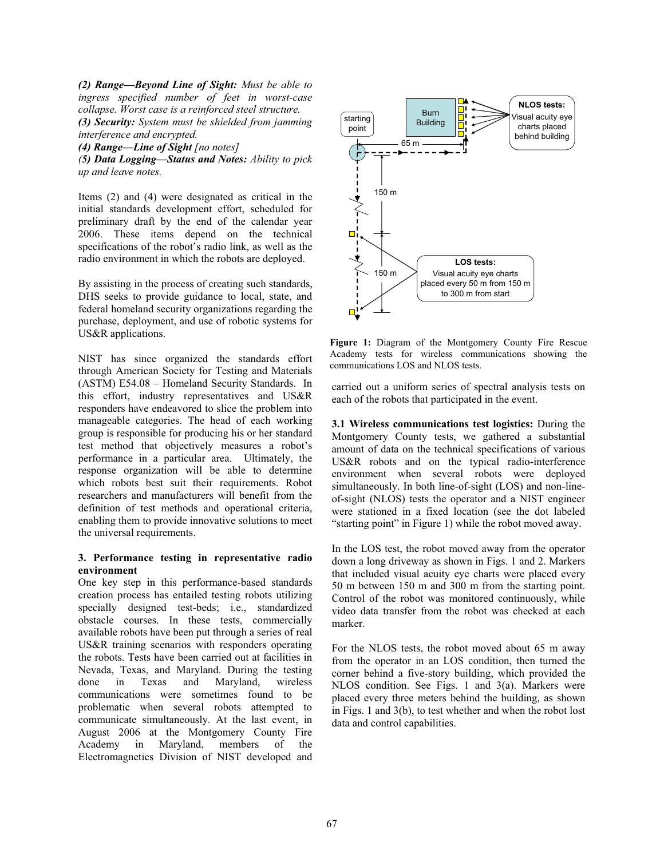*(2) Range—Beyond Line of Sight: Must be able to ingress specified number of feet in worst-case collapse. Worst case is a reinforced steel structure.* 

*(3) Security: System must be shielded from jamming interference and encrypted.* 

*(4) Range—Line of Sight [no notes]* 

*(5) Data Logging—Status and Notes: Ability to pick up and leave notes.* 

Items (2) and (4) were designated as critical in the initial standards development effort, scheduled for preliminary draft by the end of the calendar year 2006. These items depend on the technical specifications of the robot's radio link, as well as the radio environment in which the robots are deployed.

By assisting in the process of creating such standards, DHS seeks to provide guidance to local, state, and federal homeland security organizations regarding the purchase, deployment, and use of robotic systems for US&R applications.

NIST has since organized the standards effort through American Society for Testing and Materials (ASTM) E54.08 – Homeland Security Standards. In this effort, industry representatives and US&R responders have endeavored to slice the problem into manageable categories. The head of each working group is responsible for producing his or her standard test method that objectively measures a robot's performance in a particular area. Ultimately, the response organization will be able to determine which robots best suit their requirements. Robot researchers and manufacturers will benefit from the definition of test methods and operational criteria, enabling them to provide innovative solutions to meet the universal requirements.

# **3. Performance testing in representative radio environment**

One key step in this performance-based standards creation process has entailed testing robots utilizing specially designed test-beds; i.e., standardized obstacle courses. In these tests, commercially available robots have been put through a series of real US&R training scenarios with responders operating the robots. Tests have been carried out at facilities in Nevada, Texas, and Maryland. During the testing done in Texas and Maryland, wireless communications were sometimes found to be problematic when several robots attempted to communicate simultaneously. At the last event, in August 2006 at the Montgomery County Fire Academy in Maryland, members of the Electromagnetics Division of NIST developed and



**Figure 1:** Diagram of the Montgomery County Fire Rescue Academy tests for wireless communications showing the communications LOS and NLOS tests.

carried out a uniform series of spectral analysis tests on each of the robots that participated in the event.

**3.1 Wireless communications test logistics:** During the Montgomery County tests, we gathered a substantial amount of data on the technical specifications of various US&R robots and on the typical radio-interference environment when several robots were deployed simultaneously. In both line-of-sight (LOS) and non-lineof-sight (NLOS) tests the operator and a NIST engineer were stationed in a fixed location (see the dot labeled "starting point" in Figure 1) while the robot moved away.

In the LOS test, the robot moved away from the operator down a long driveway as shown in Figs. 1 and 2. Markers that included visual acuity eye charts were placed every 50 m between 150 m and 300 m from the starting point. Control of the robot was monitored continuously, while video data transfer from the robot was checked at each marker.

For the NLOS tests, the robot moved about 65 m away from the operator in an LOS condition, then turned the corner behind a five-story building, which provided the NLOS condition. See Figs. 1 and 3(a). Markers were placed every three meters behind the building, as shown in Figs. 1 and 3(b), to test whether and when the robot lost data and control capabilities.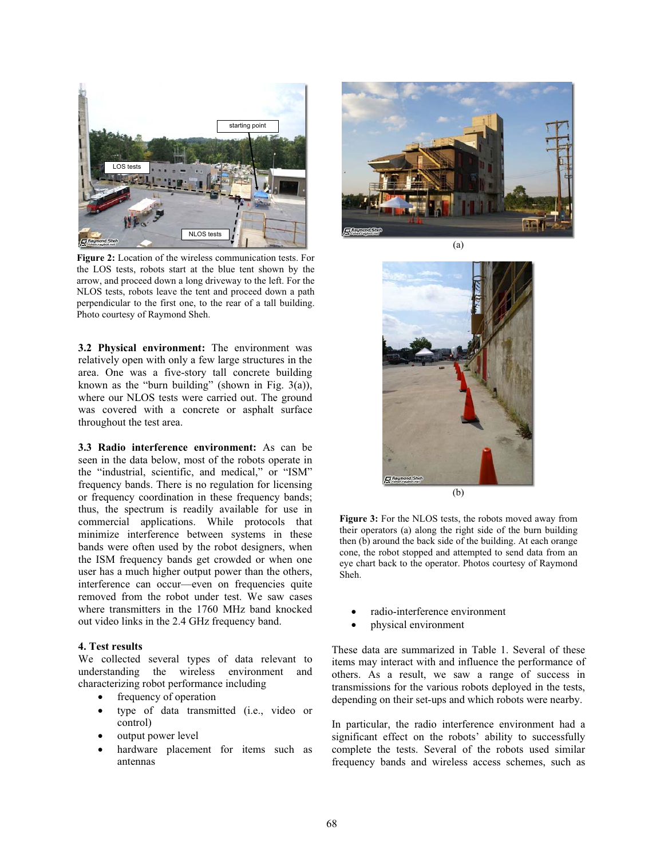

**Figure 2:** Location of the wireless communication tests. For the LOS tests, robots start at the blue tent shown by the arrow, and proceed down a long driveway to the left. For the NLOS tests, robots leave the tent and proceed down a path perpendicular to the first one, to the rear of a tall building. Photo courtesy of Raymond Sheh.

**3.2 Physical environment:** The environment was relatively open with only a few large structures in the area. One was a five-story tall concrete building known as the "burn building" (shown in Fig.  $3(a)$ ), where our NLOS tests were carried out. The ground was covered with a concrete or asphalt surface throughout the test area.

**3.3 Radio interference environment:** As can be seen in the data below, most of the robots operate in the "industrial, scientific, and medical," or "ISM" frequency bands. There is no regulation for licensing or frequency coordination in these frequency bands; thus, the spectrum is readily available for use in commercial applications. While protocols that minimize interference between systems in these bands were often used by the robot designers, when the ISM frequency bands get crowded or when one user has a much higher output power than the others, interference can occur—even on frequencies quite removed from the robot under test. We saw cases where transmitters in the 1760 MHz band knocked out video links in the 2.4 GHz frequency band.

#### **4. Test results**

We collected several types of data relevant to understanding the wireless environment and characterizing robot performance including

- frequency of operation
- type of data transmitted (i.e., video or control)
- output power level
- hardware placement for items such as antennas





**Figure 3:** For the NLOS tests, the robots moved away from their operators (a) along the right side of the burn building then (b) around the back side of the building. At each orange cone, the robot stopped and attempted to send data from an eye chart back to the operator. Photos courtesy of Raymond Sheh.

- radio-interference environment
- x physical environment

These data are summarized in Table 1. Several of these items may interact with and influence the performance of others. As a result, we saw a range of success in transmissions for the various robots deployed in the tests, depending on their set-ups and which robots were nearby.

In particular, the radio interference environment had a significant effect on the robots' ability to successfully complete the tests. Several of the robots used similar frequency bands and wireless access schemes, such as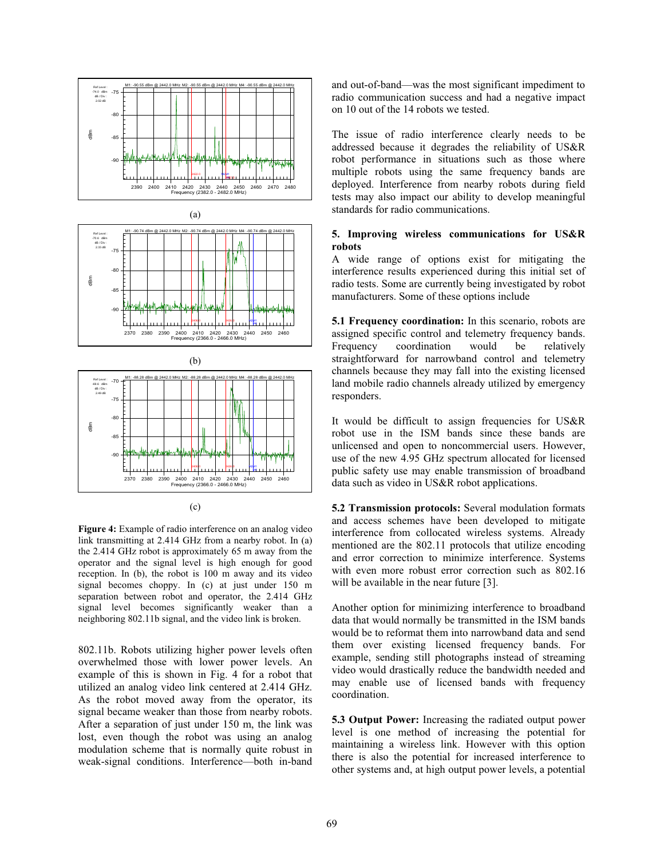





(c)

Figure 4: Example of radio interference on an analog video link transmitting at 2.414 GHz from a nearby robot. In (a) the 2.414 GHz robot is approximately 65 m away from the operator and the signal level is high enough for good reception. In (b), the robot is 100 m away and its video signal becomes choppy. In (c) at just under 150 m separation between robot and operator, the 2.414 GHz signal level becomes significantly weaker than a neighboring 802.11b signal, and the video link is broken.

802.11b. Robots utilizing higher power levels often overwhelmed those with lower power levels. An example of this is shown in Fig. 4 for a robot that utilized an analog video link centered at 2.414 GHz. As the robot moved away from the operator, its signal became weaker than those from nearby robots. After a separation of just under 150 m, the link was lost, even though the robot was using an analog modulation scheme that is normally quite robust in weak-signal conditions. Interference—both in-band and out-of-band—was the most significant impediment to radio communication success and had a negative impact on 10 out of the 14 robots we tested.

The issue of radio interference clearly needs to be addressed because it degrades the reliability of US&R robot performance in situations such as those where multiple robots using the same frequency bands are deployed. Interference from nearby robots during field tests may also impact our ability to develop meaningful standards for radio communications.

# **5. Improving wireless communications for US&R robots**

A wide range of options exist for mitigating the interference results experienced during this initial set of radio tests. Some are currently being investigated by robot manufacturers. Some of these options include

**5.1 Frequency coordination:** In this scenario, robots are assigned specific control and telemetry frequency bands.<br>Frequency coordination would be relatively Frequency coordination would be relatively straightforward for narrowband control and telemetry channels because they may fall into the existing licensed land mobile radio channels already utilized by emergency responders.

It would be difficult to assign frequencies for US&R robot use in the ISM bands since these bands are unlicensed and open to noncommercial users. However, use of the new 4.95 GHz spectrum allocated for licensed public safety use may enable transmission of broadband data such as video in US&R robot applications.

**5.2 Transmission protocols:** Several modulation formats and access schemes have been developed to mitigate interference from collocated wireless systems. Already mentioned are the 802.11 protocols that utilize encoding and error correction to minimize interference. Systems with even more robust error correction such as  $802.16$ will be available in the near future [3].

Another option for minimizing interference to broadband data that would normally be transmitted in the ISM bands would be to reformat them into narrowband data and send them over existing licensed frequency bands. For example, sending still photographs instead of streaming video would drastically reduce the bandwidth needed and may enable use of licensed bands with frequency coordination.

**5.3 Output Power:** Increasing the radiated output power level is one method of increasing the potential for maintaining a wireless link. However with this option there is also the potential for increased interference to other systems and, at high output power levels, a potential